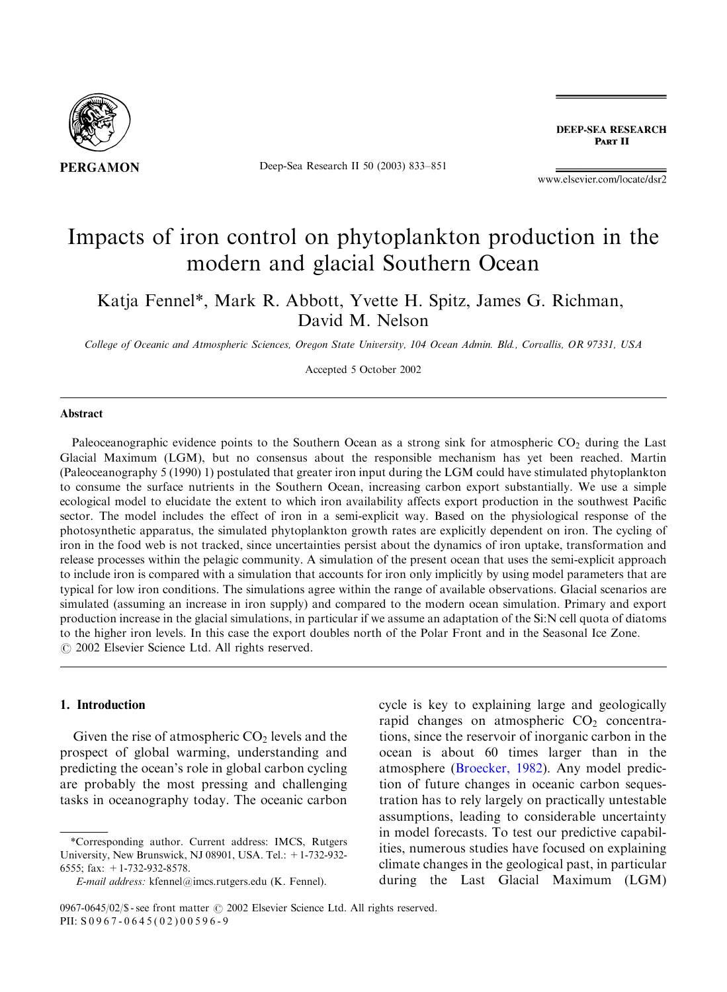

Deep-Sea Research II 50 (2003) 833–851

**DEEP-SEA RESEARCH** PART II

www.elsevier.com/locate/dsr2

# Impacts of iron control on phytoplankton production in the modern and glacial Southern Ocean

Katja Fennel\*, Mark R. Abbott, Yvette H. Spitz, James G. Richman, David M. Nelson

College of Oceanic and Atmospheric Sciences, Oregon State University, 104 Ocean Admin. Bld., Corvallis, OR 97331, USA

Accepted 5 October 2002

#### Abstract

Paleoceanographic evidence points to the Southern Ocean as a strong sink for atmospheric  $CO<sub>2</sub>$  during the Last Glacial Maximum (LGM), but no consensus about the responsible mechanism has yet been reached. Martin (Paleoceanography 5 (1990) 1) postulated that greater iron input during the LGM could have stimulated phytoplankton to consume the surface nutrients in the Southern Ocean, increasing carbon export substantially. We use a simple ecological model to elucidate the extent to which iron availability affects export production in the southwest Pacific sector. The model includes the effect of iron in a semi-explicit way. Based on the physiological response of the photosynthetic apparatus, the simulated phytoplankton growth rates are explicitly dependent on iron. The cycling of iron in the food web is not tracked, since uncertainties persist about the dynamics of iron uptake, transformation and release processes within the pelagic community. A simulation of the present ocean that uses the semi-explicit approach to include iron is compared with a simulation that accounts for iron only implicitly by using model parameters that are typical for low iron conditions. The simulations agree within the range of available observations. Glacial scenarios are simulated (assuming an increase in iron supply) and compared to the modern ocean simulation. Primary and export production increase in the glacial simulations, in particular if we assume an adaptation of the Si:N cell quota of diatoms to the higher iron levels. In this case the export doubles north of the Polar Front and in the Seasonal Ice Zone.  $\odot$  2002 Elsevier Science Ltd. All rights reserved.

## 1. Introduction

Given the rise of atmospheric  $CO<sub>2</sub>$  levels and the prospect of global warming, understanding and predicting the ocean's role in global carbon cycling are probably the most pressing and challenging tasks in oceanography today. The oceanic carbon

cycle is key to explaining large and geologically rapid changes on atmospheric  $CO<sub>2</sub>$  concentrations, since the reservoir of inorganic carbon in the ocean is about 60 times larger than in the atmosphere ([Broecker, 1982](#page-16-0)). Any model prediction of future changes in oceanic carbon sequestration has to rely largely on practically untestable assumptions, leading to considerable uncertainty in model forecasts. To test our predictive capabilities, numerous studies have focused on explaining climate changes in the geological past, in particular during the Last Glacial Maximum (LGM)

<sup>\*</sup>Corresponding author. Current address: IMCS, Rutgers University, New Brunswick, NJ 08901, USA. Tel.: +1-732-932- 6555; fax: +1-732-932-8578.

E-mail address: kfennel@imcs.rutgers.edu (K. Fennel).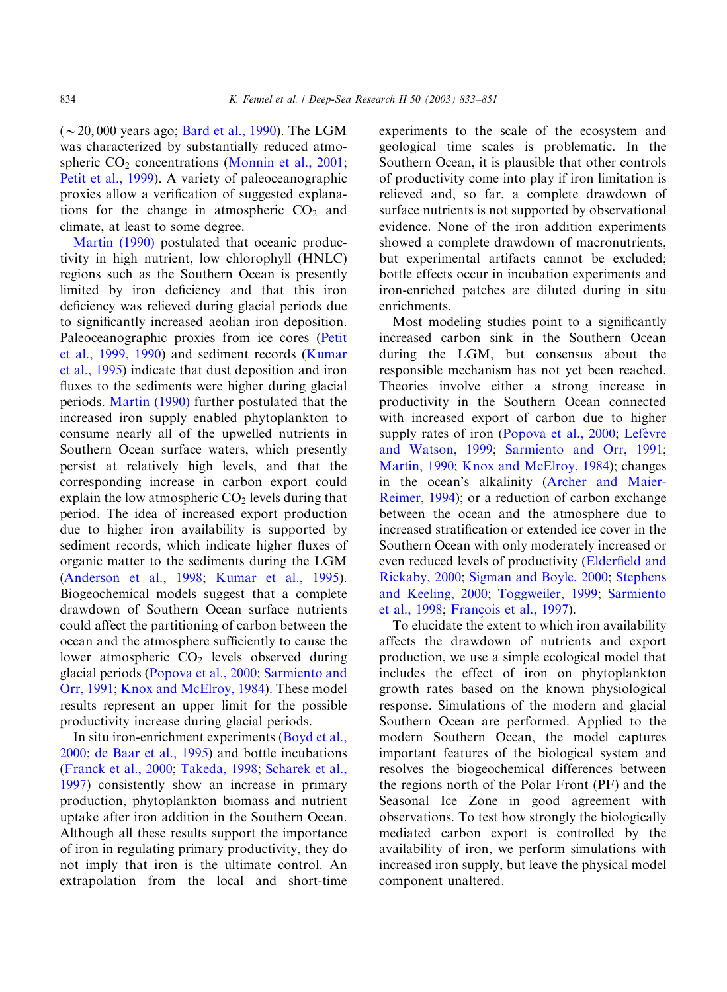$(\sim 20,000$  years ago; [Bard et al., 1990\)](#page-16-0). The LGM was characterized by substantially reduced atmospheric  $CO<sub>2</sub>$  concentrations ([Monnin et al., 2001](#page-17-0); [Petit et al., 1999](#page-17-0)). A variety of paleoceanographic proxies allow a verification of suggested explanations for the change in atmospheric  $CO<sub>2</sub>$  and climate, at least to some degree.

[Martin \(1990\)](#page-17-0) postulated that oceanic productivity in high nutrient, low chlorophyll (HNLC) regions such as the Southern Ocean is presently limited by iron deficiency and that this iron deficiency was relieved during glacial periods due to significantly increased aeolian iron deposition. Paleoceanographic proxies from ice cores [\(Petit](#page-17-0) [et al., 1999, 1990\)](#page-17-0) and sediment records [\(Kumar](#page-17-0) [et al., 1995\)](#page-17-0) indicate that dust deposition and iron fluxes to the sediments were higher during glacial periods. [Martin \(1990\)](#page-17-0) further postulated that the increased iron supply enabled phytoplankton to consume nearly all of the upwelled nutrients in Southern Ocean surface waters, which presently persist at relatively high levels, and that the corresponding increase in carbon export could explain the low atmospheric  $CO<sub>2</sub>$  levels during that period. The idea of increased export production due to higher iron availability is supported by sediment records, which indicate higher fluxes of organic matter to the sediments during the LGM [\(Anderson et al., 1998;](#page-16-0) [Kumar et al., 1995\)](#page-17-0). Biogeochemical models suggest that a complete drawdown of Southern Ocean surface nutrients could affect the partitioning of carbon between the ocean and the atmosphere sufficiently to cause the lower atmospheric  $CO<sub>2</sub>$  levels observed during glacial periods ([Popova et al., 2000](#page-17-0); [Sarmiento and](#page-17-0) [Orr, 1991](#page-17-0); [Knox and McElroy, 1984](#page-17-0)). These model results represent an upper limit for the possible productivity increase during glacial periods.

In situ iron-enrichment experiments ([Boyd et al.,](#page-16-0) [2000;](#page-16-0) [de Baar et al., 1995](#page-16-0)) and bottle incubations [\(Franck et al., 2000](#page-16-0); [Takeda, 1998;](#page-18-0) [Scharek et al.,](#page-18-0) [1997\)](#page-18-0) consistently show an increase in primary production, phytoplankton biomass and nutrient uptake after iron addition in the Southern Ocean. Although all these results support the importance of iron in regulating primary productivity, they do not imply that iron is the ultimate control. An extrapolation from the local and short-time

experiments to the scale of the ecosystem and geological time scales is problematic. In the Southern Ocean, it is plausible that other controls of productivity come into play if iron limitation is relieved and, so far, a complete drawdown of surface nutrients is not supported by observational evidence. None of the iron addition experiments showed a complete drawdown of macronutrients, but experimental artifacts cannot be excluded; bottle effects occur in incubation experiments and iron-enriched patches are diluted during in situ enrichments.

Most modeling studies point to a significantly increased carbon sink in the Southern Ocean during the LGM, but consensus about the responsible mechanism has not yet been reached. Theories involve either a strong increase in productivity in the Southern Ocean connected with increased export of carbon due to higher supply rates of iron ([Popova et al., 2000;](#page-17-0) Lefèvre [and Watson, 1999](#page-17-0); [Sarmiento and Orr, 1991](#page-17-0); [Martin, 1990](#page-17-0); [Knox and McElroy, 1984](#page-17-0)); changes in the ocean's alkalinity ([Archer and Maier-](#page-16-0)[Reimer, 1994](#page-16-0)); or a reduction of carbon exchange between the ocean and the atmosphere due to increased stratification or extended ice cover in the Southern Ocean with only moderately increased or even reduced levels of productivity ([Elderfield and](#page-16-0) [Rickaby, 2000](#page-16-0); [Sigman and Boyle, 2000](#page-18-0); [Stephens](#page-18-0) [and Keeling, 2000](#page-18-0); [Toggweiler, 1999;](#page-18-0) [Sarmiento](#page-18-0) [et al., 1998](#page-18-0); [Fran](#page-16-0)c[ois et al., 1997](#page-16-0)).

To elucidate the extent to which iron availability affects the drawdown of nutrients and export production, we use a simple ecological model that includes the effect of iron on phytoplankton growth rates based on the known physiological response. Simulations of the modern and glacial Southern Ocean are performed. Applied to the modern Southern Ocean, the model captures important features of the biological system and resolves the biogeochemical differences between the regions north of the Polar Front (PF) and the Seasonal Ice Zone in good agreement with observations. To test how strongly the biologically mediated carbon export is controlled by the availability of iron, we perform simulations with increased iron supply, but leave the physical model component unaltered.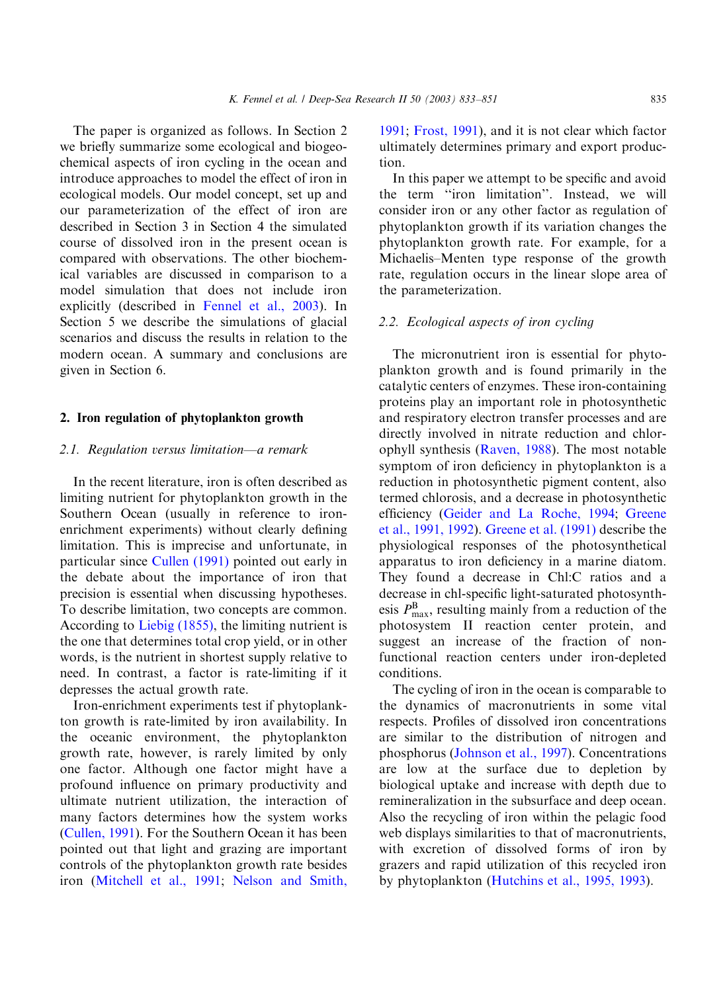The paper is organized as follows. In Section 2 we briefly summarize some ecological and biogeochemical aspects of iron cycling in the ocean and introduce approaches to model the effect of iron in ecological models. Our model concept, set up and our parameterization of the effect of iron are described in Section 3 in Section 4 the simulated course of dissolved iron in the present ocean is compared with observations. The other biochemical variables are discussed in comparison to a model simulation that does not include iron explicitly (described in [Fennel et al., 2003\)](#page-16-0). In Section 5 we describe the simulations of glacial scenarios and discuss the results in relation to the modern ocean. A summary and conclusions are given in Section 6.

## 2. Iron regulation of phytoplankton growth

### 2.1. Regulation versus limitation—a remark

In the recent literature, iron is often described as limiting nutrient for phytoplankton growth in the Southern Ocean (usually in reference to ironenrichment experiments) without clearly defining limitation. This is imprecise and unfortunate, in particular since [Cullen \(1991\)](#page-16-0) pointed out early in the debate about the importance of iron that precision is essential when discussing hypotheses. To describe limitation, two concepts are common. According to [Liebig \(1855\),](#page-17-0) the limiting nutrient is the one that determines total crop yield, or in other words, is the nutrient in shortest supply relative to need. In contrast, a factor is rate-limiting if it depresses the actual growth rate.

Iron-enrichment experiments test if phytoplankton growth is rate-limited by iron availability. In the oceanic environment, the phytoplankton growth rate, however, is rarely limited by only one factor. Although one factor might have a profound influence on primary productivity and ultimate nutrient utilization, the interaction of many factors determines how the system works [\(Cullen, 1991](#page-16-0)). For the Southern Ocean it has been pointed out that light and grazing are important controls of the phytoplankton growth rate besides iron ([Mitchell et al., 1991;](#page-17-0) [Nelson and Smith,](#page-17-0) [1991;](#page-17-0) [Frost, 1991](#page-16-0)), and it is not clear which factor ultimately determines primary and export production.

In this paper we attempt to be specific and avoid the term ''iron limitation''. Instead, we will consider iron or any other factor as regulation of phytoplankton growth if its variation changes the phytoplankton growth rate. For example, for a Michaelis–Menten type response of the growth rate, regulation occurs in the linear slope area of the parameterization.

# 2.2. Ecological aspects of iron cycling

The micronutrient iron is essential for phytoplankton growth and is found primarily in the catalytic centers of enzymes. These iron-containing proteins play an important role in photosynthetic and respiratory electron transfer processes and are directly involved in nitrate reduction and chlorophyll synthesis [\(Raven, 1988](#page-17-0)). The most notable symptom of iron deficiency in phytoplankton is a reduction in photosynthetic pigment content, also termed chlorosis, and a decrease in photosynthetic efficiency [\(Geider and La Roche, 1994](#page-16-0); [Greene](#page-16-0) [et al., 1991, 1992\)](#page-16-0). [Greene et al. \(1991\)](#page-16-0) describe the physiological responses of the photosynthetical apparatus to iron deficiency in a marine diatom. They found a decrease in Chl:C ratios and a decrease in chl-specific light-saturated photosynthesis  $P_{\text{max}}^{\text{B}}$ , resulting mainly from a reduction of the photosystem II reaction center protein, and suggest an increase of the fraction of nonfunctional reaction centers under iron-depleted conditions.

The cycling of iron in the ocean is comparable to the dynamics of macronutrients in some vital respects. Profiles of dissolved iron concentrations are similar to the distribution of nitrogen and phosphorus [\(Johnson et al., 1997\)](#page-17-0). Concentrations are low at the surface due to depletion by biological uptake and increase with depth due to remineralization in the subsurface and deep ocean. Also the recycling of iron within the pelagic food web displays similarities to that of macronutrients, with excretion of dissolved forms of iron by grazers and rapid utilization of this recycled iron by phytoplankton ([Hutchins et al., 1995, 1993\)](#page-17-0).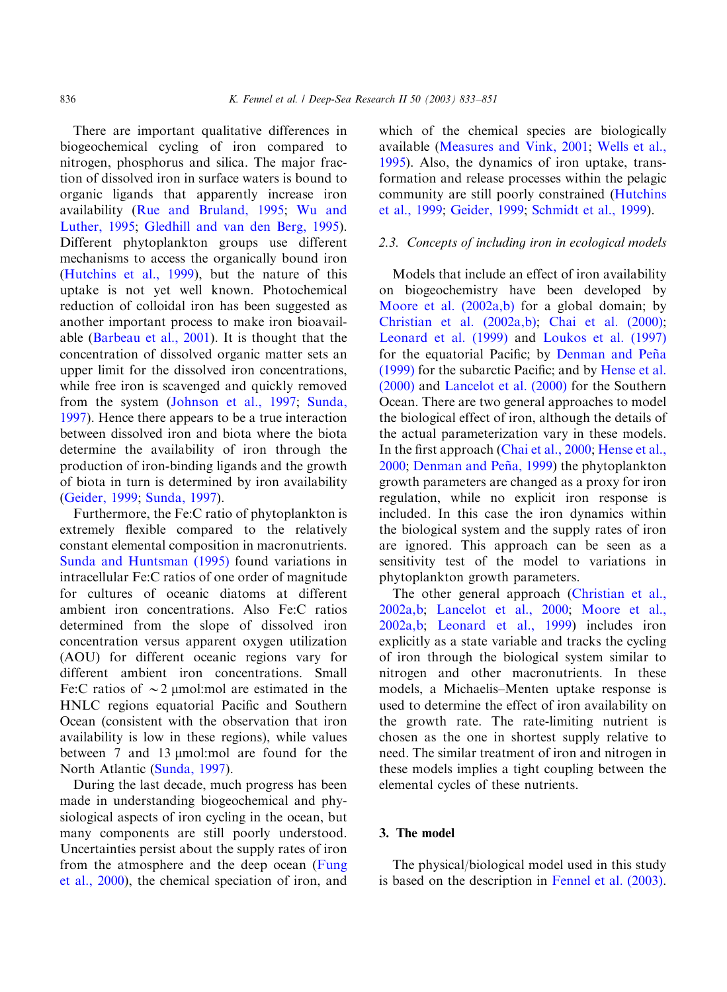There are important qualitative differences in biogeochemical cycling of iron compared to nitrogen, phosphorus and silica. The major fraction of dissolved iron in surface waters is bound to organic ligands that apparently increase iron availability [\(Rue and Bruland, 1995;](#page-17-0) Wu and [Luther, 1995](#page-18-0); [Gledhill and van den Berg, 1995\)](#page-16-0). Different phytoplankton groups use different mechanisms to access the organically bound iron [\(Hutchins et al., 1999](#page-17-0)), but the nature of this uptake is not yet well known. Photochemical reduction of colloidal iron has been suggested as another important process to make iron bioavailable (Barbeau et al., 2001). It is thought that the concentration of dissolved organic matter sets an upper limit for the dissolved iron concentrations, while free iron is scavenged and quickly removed from the system [\(Johnson et al., 1997;](#page-17-0) [Sunda,](#page-18-0) [1997\)](#page-18-0). Hence there appears to be a true interaction between dissolved iron and biota where the biota determine the availability of iron through the production of iron-binding ligands and the growth of biota in turn is determined by iron availability [\(Geider, 1999](#page-16-0); [Sunda, 1997](#page-18-0)).

Furthermore, the Fe:C ratio of phytoplankton is extremely flexible compared to the relatively constant elemental composition in macronutrients. [Sunda and Huntsman \(1995\)](#page-18-0) found variations in intracellular Fe:C ratios of one order of magnitude for cultures of oceanic diatoms at different ambient iron concentrations. Also Fe:C ratios determined from the slope of dissolved iron concentration versus apparent oxygen utilization (AOU) for different oceanic regions vary for different ambient iron concentrations. Small Fe:C ratios of  $\sim$  2 µmol:mol are estimated in the HNLC regions equatorial Pacific and Southern Ocean (consistent with the observation that iron availability is low in these regions), while values between 7 and 13 µmol:mol are found for the North Atlantic ([Sunda, 1997\)](#page-18-0).

During the last decade, much progress has been made in understanding biogeochemical and physiological aspects of iron cycling in the ocean, but many components are still poorly understood. Uncertainties persist about the supply rates of iron from the atmosphere and the deep ocean [\(Fung](#page-16-0) [et al., 2000](#page-16-0)), the chemical speciation of iron, and

which of the chemical species are biologically available [\(Measures and Vink, 2001;](#page-17-0) [Wells et al.,](#page-18-0) [1995\)](#page-18-0). Also, the dynamics of iron uptake, transformation and release processes within the pelagic community are still poorly constrained [\(Hutchins](#page-17-0) [et al., 1999](#page-17-0); [Geider, 1999](#page-16-0); [Schmidt et al., 1999](#page-18-0)).

## 2.3. Concepts of including iron in ecological models

Models that include an effect of iron availability on biogeochemistry have been developed by Moore et al.  $(2002a,b)$  for a global domain; by [Christian et al. \(2002a,b\);](#page-16-0) [Chai et al. \(2000\)](#page-16-0); [Leonard et al. \(1999\)](#page-17-0) and [Loukos et al. \(1997\)](#page-17-0) for the equatorial Pacific; by Denman and Peña [\(1999\)](#page-16-0) for the subarctic Pacific; and by [Hense et al.](#page-17-0) [\(2000\)](#page-17-0) and [Lancelot et al. \(2000\)](#page-17-0) for the Southern Ocean. There are two general approaches to model the biological effect of iron, although the details of the actual parameterization vary in these models. In the first approach [\(Chai et al., 2000;](#page-16-0) [Hense et al.,](#page-17-0)  $2000$ ; Denman and Peña, 1999) the phytoplankton growth parameters are changed as a proxy for iron regulation, while no explicit iron response is included. In this case the iron dynamics within the biological system and the supply rates of iron are ignored. This approach can be seen as a sensitivity test of the model to variations in phytoplankton growth parameters.

The other general approach [\(Christian et al.,](#page-16-0) [2002a,b](#page-16-0); [Lancelot et al., 2000;](#page-17-0) [Moore et al.,](#page-17-0) [2002a,b](#page-17-0); [Leonard et al., 1999](#page-17-0)) includes iron explicitly as a state variable and tracks the cycling of iron through the biological system similar to nitrogen and other macronutrients. In these models, a Michaelis–Menten uptake response is used to determine the effect of iron availability on the growth rate. The rate-limiting nutrient is chosen as the one in shortest supply relative to need. The similar treatment of iron and nitrogen in these models implies a tight coupling between the elemental cycles of these nutrients.

# 3. The model

The physical/biological model used in this study is based on the description in [Fennel et al. \(2003\)](#page-16-0).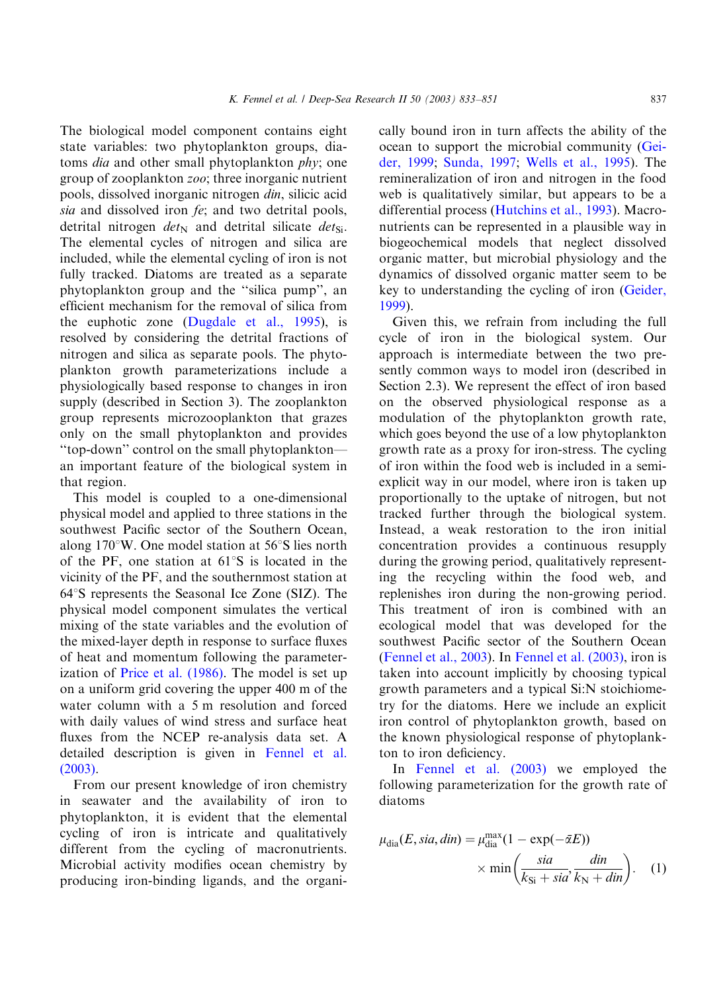The biological model component contains eight state variables: two phytoplankton groups, diatoms dia and other small phytoplankton phy; one group of zooplankton zoo; three inorganic nutrient pools, dissolved inorganic nitrogen din, silicic acid sia and dissolved iron  $fe$ ; and two detrital pools, detrital nitrogen  $det_{N}$  and detrital silicate  $det_{S_i}$ . The elemental cycles of nitrogen and silica are included, while the elemental cycling of iron is not fully tracked. Diatoms are treated as a separate phytoplankton group and the ''silica pump'', an efficient mechanism for the removal of silica from the euphotic zone [\(Dugdale et al., 1995\)](#page-16-0), is resolved by considering the detrital fractions of nitrogen and silica as separate pools. The phytoplankton growth parameterizations include a physiologically based response to changes in iron supply (described in Section 3). The zooplankton group represents microzooplankton that grazes only on the small phytoplankton and provides ''top-down'' control on the small phytoplankton an important feature of the biological system in that region.

This model is coupled to a one-dimensional physical model and applied to three stations in the southwest Pacific sector of the Southern Ocean, along  $170^{\circ}$ W. One model station at  $56^{\circ}$ S lies north of the PF, one station at  $61^{\circ}$ S is located in the vicinity of the PF, and the southernmost station at  $64^{\circ}$ S represents the Seasonal Ice Zone (SIZ). The physical model component simulates the vertical mixing of the state variables and the evolution of the mixed-layer depth in response to surface fluxes of heat and momentum following the parameterization of [Price et al. \(1986\)](#page-17-0). The model is set up on a uniform grid covering the upper 400 m of the water column with a 5 m resolution and forced with daily values of wind stress and surface heat fluxes from the NCEP re-analysis data set. A detailed description is given in [Fennel et al.](#page-16-0) [\(2003\)](#page-16-0).

From our present knowledge of iron chemistry in seawater and the availability of iron to phytoplankton, it is evident that the elemental cycling of iron is intricate and qualitatively different from the cycling of macronutrients. Microbial activity modifies ocean chemistry by producing iron-binding ligands, and the organically bound iron in turn affects the ability of the ocean to support the microbial community ([Gei](#page-16-0)[der, 1999;](#page-16-0) [Sunda, 1997;](#page-18-0) [Wells et al., 1995\)](#page-18-0). The remineralization of iron and nitrogen in the food web is qualitatively similar, but appears to be a differential process ([Hutchins et al., 1993](#page-17-0)). Macronutrients can be represented in a plausible way in biogeochemical models that neglect dissolved organic matter, but microbial physiology and the dynamics of dissolved organic matter seem to be key to understanding the cycling of iron [\(Geider,](#page-16-0) [1999\)](#page-16-0).

Given this, we refrain from including the full cycle of iron in the biological system. Our approach is intermediate between the two presently common ways to model iron (described in Section 2.3). We represent the effect of iron based on the observed physiological response as a modulation of the phytoplankton growth rate, which goes beyond the use of a low phytoplankton growth rate as a proxy for iron-stress. The cycling of iron within the food web is included in a semiexplicit way in our model, where iron is taken up proportionally to the uptake of nitrogen, but not tracked further through the biological system. Instead, a weak restoration to the iron initial concentration provides a continuous resupply during the growing period, qualitatively representing the recycling within the food web, and replenishes iron during the non-growing period. This treatment of iron is combined with an ecological model that was developed for the southwest Pacific sector of the Southern Ocean [\(Fennel et al., 2003\)](#page-16-0). In [Fennel et al. \(2003\)](#page-16-0), iron is taken into account implicitly by choosing typical growth parameters and a typical Si:N stoichiometry for the diatoms. Here we include an explicit iron control of phytoplankton growth, based on the known physiological response of phytoplankton to iron deficiency.

In [Fennel et al. \(2003\)](#page-16-0) we employed the following parameterization for the growth rate of diatoms

$$
\mu_{\text{dia}}(E, sia, din) = \mu_{\text{dia}}^{\text{max}}(1 - \exp(-\bar{\alpha}E))
$$

$$
\times \min\left(\frac{sia}{k_{\text{Si}} + sia}, \frac{din}{k_{\text{N}} + din}\right). \quad (1)
$$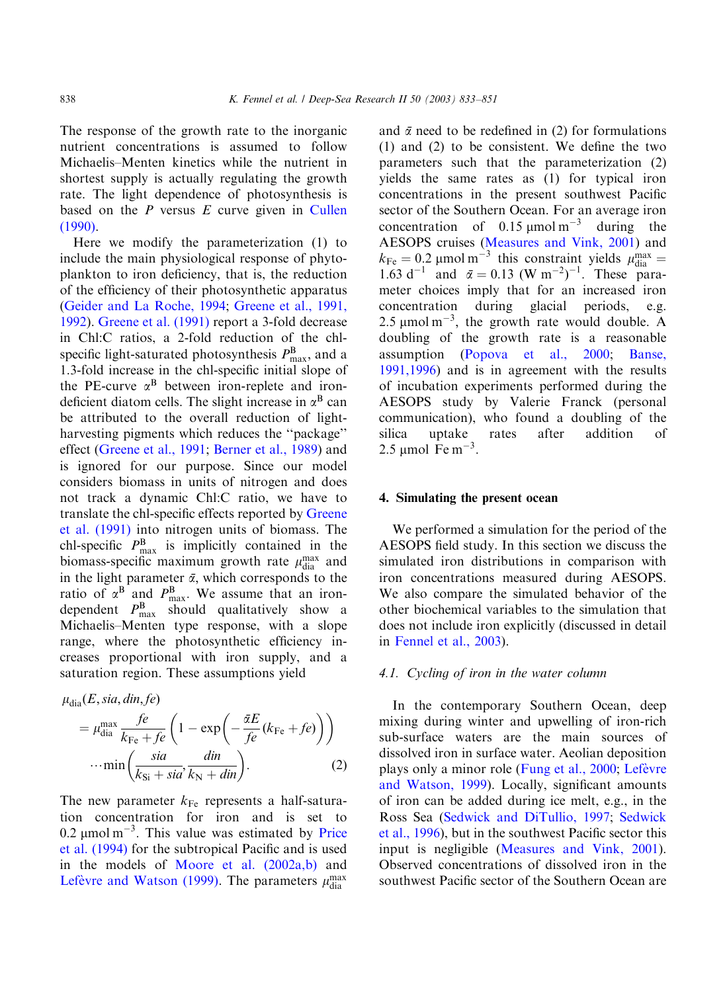The response of the growth rate to the inorganic nutrient concentrations is assumed to follow Michaelis–Menten kinetics while the nutrient in shortest supply is actually regulating the growth rate. The light dependence of photosynthesis is based on the  $P$  versus  $E$  curve given in [Cullen](#page-16-0) [\(1990\)](#page-16-0).

Here we modify the parameterization (1) to include the main physiological response of phytoplankton to iron deficiency, that is, the reduction of the efficiency of their photosynthetic apparatus [\(Geider and La Roche, 1994](#page-16-0); [Greene et al., 1991,](#page-16-0) [1992\)](#page-16-0). [Greene et al. \(1991\)](#page-16-0) report a 3-fold decrease in Chl:C ratios, a 2-fold reduction of the chlspecific light-saturated photosynthesis  $P_{\text{max}}^{\text{B}}$ , and a 1.3-fold increase in the chl-specific initial slope of the PE-curve  $\alpha^B$  between iron-replete and irondeficient diatom cells. The slight increase in  $\alpha^B$  can be attributed to the overall reduction of lightharvesting pigments which reduces the ''package'' effect [\(Greene et al., 1991](#page-16-0); [Berner et al., 1989\)](#page-16-0) and is ignored for our purpose. Since our model considers biomass in units of nitrogen and does not track a dynamic Chl:C ratio, we have to translate the chl-specific effects reported by [Greene](#page-16-0) [et al. \(1991\)](#page-16-0) into nitrogen units of biomass. The chl-specific  $P_{\text{max}}^{\text{B}}$  is implicitly contained in the biomass-specific maximum growth rate  $\mu_{dia}^{max}$  and in the light parameter  $\bar{\alpha}$ , which corresponds to the ratio of  $\alpha^B$  and  $P_{\text{max}}^B$ . We assume that an irondependent  $P_{\text{max}}^{\text{B}}$  should qualitatively show a Michaelis–Menten type response, with a slope range, where the photosynthetic efficiency increases proportional with iron supply, and a saturation region. These assumptions yield

$$
\mu_{\text{dia}}(E, \text{sia}, \text{din}, \text{fe})
$$
\n
$$
= \mu_{\text{dia}}^{\text{max}} \frac{f e}{k_{\text{Fe}} + f e} \left( 1 - \exp \left( -\frac{\bar{\alpha} E}{f e} (k_{\text{Fe}} + f e) \right) \right)
$$
\n
$$
\cdots \min \left( \frac{\text{sia}}{k_{\text{Si}} + \text{sia}} \frac{\text{din}}{k_{\text{N}} + \text{din}} \right). \tag{2}
$$

The new parameter  $k_{Fe}$  represents a half-saturation concentration for iron and is set to 0.2  $\mu$ mol m<sup>-3</sup>. This value was estimated by [Price](#page-17-0) [et al. \(1994\)](#page-17-0) for the subtropical Pacific and is used in the models of [Moore et al. \(2002a,b\)](#page-17-0) and [Lef](#page-17-0)è[vre and Watson \(1999\)](#page-17-0). The parameters  $\mu_{\text{dia}}^{\text{max}}$ 

and  $\bar{\alpha}$  need to be redefined in (2) for formulations (1) and (2) to be consistent. We define the two parameters such that the parameterization (2) yields the same rates as (1) for typical iron concentrations in the present southwest Pacific sector of the Southern Ocean. For an average iron concentration of  $0.15 \text{ \mu mol m}^{-3}$  during the AESOPS cruises [\(Measures and Vink, 2001\)](#page-17-0) and  $k_{\text{Fe}} = 0.2 \text{ }\mu\text{mol m}^{-3}$  this constraint yields  $\mu_{\text{dia}}^{\text{max}} =$ 1.63 d<sup>-1</sup> and  $\bar{\alpha} = 0.13$  (W m<sup>-2</sup>)<sup>-1</sup>. These parameter choices imply that for an increased iron concentration during glacial periods, e.g. 2.5  $\mu$ mol m<sup>-3</sup>, the growth rate would double. A doubling of the growth rate is a reasonable assumption [\(Popova et al., 2000;](#page-17-0) [Banse,](#page-16-0) [1991,1996\)](#page-16-0) and is in agreement with the results of incubation experiments performed during the AESOPS study by Valerie Franck (personal communication), who found a doubling of the silica uptake rates after addition of 2.5  $\mu$ mol Fe m<sup>-3</sup>.

## 4. Simulating the present ocean

We performed a simulation for the period of the AESOPS field study. In this section we discuss the simulated iron distributions in comparison with iron concentrations measured during AESOPS. We also compare the simulated behavior of the other biochemical variables to the simulation that does not include iron explicitly (discussed in detail in [Fennel et al., 2003](#page-16-0)).

#### 4.1. Cycling of iron in the water column

In the contemporary Southern Ocean, deep mixing during winter and upwelling of iron-rich sub-surface waters are the main sources of dissolved iron in surface water. Aeolian deposition plays only a minor role ([Fung et al., 2000;](#page-16-0) Lefèvre [and Watson, 1999\)](#page-17-0). Locally, significant amounts of iron can be added during ice melt, e.g., in the Ross Sea [\(Sedwick and DiTullio, 1997;](#page-18-0) [Sedwick](#page-18-0) [et al., 1996](#page-18-0)), but in the southwest Pacific sector this input is negligible ([Measures and Vink, 2001](#page-17-0)). Observed concentrations of dissolved iron in the southwest Pacific sector of the Southern Ocean are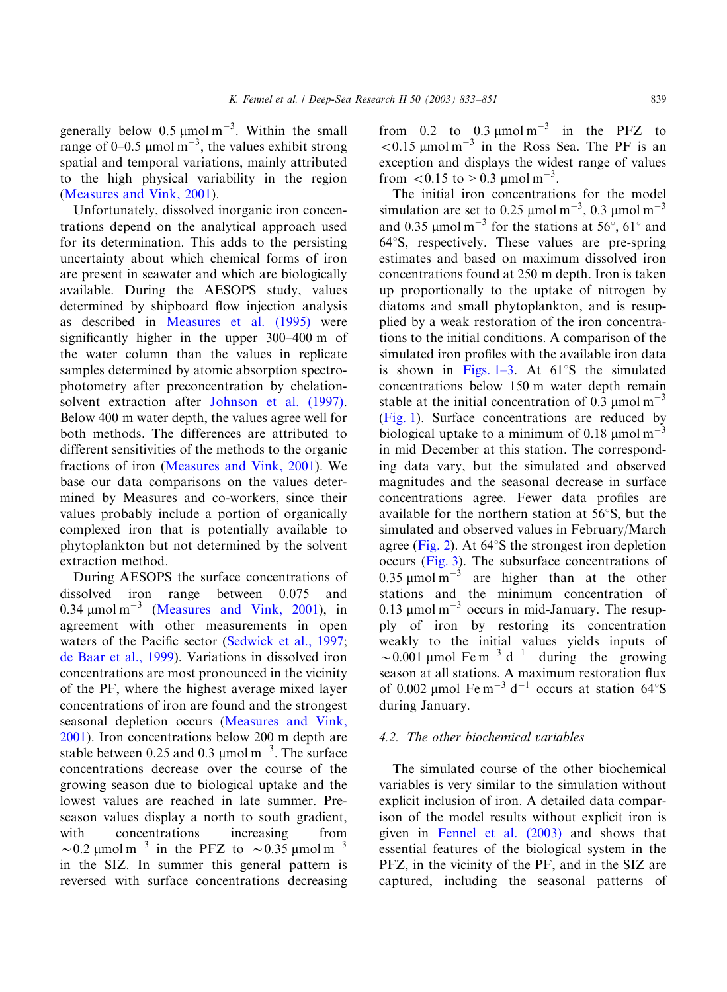generally below 0.5  $\mu$ mol m<sup>-3</sup>. Within the small range of 0–0.5  $\mu$ mol m<sup>-3</sup>, the values exhibit strong spatial and temporal variations, mainly attributed to the high physical variability in the region [\(Measures and Vink, 2001](#page-17-0)).

Unfortunately, dissolved inorganic iron concentrations depend on the analytical approach used for its determination. This adds to the persisting uncertainty about which chemical forms of iron are present in seawater and which are biologically available. During the AESOPS study, values determined by shipboard flow injection analysis as described in [Measures et al. \(1995\)](#page-17-0) were significantly higher in the upper 300–400 m of the water column than the values in replicate samples determined by atomic absorption spectrophotometry after preconcentration by chelationsolvent extraction after [Johnson et al. \(1997\)](#page-17-0). Below 400 m water depth, the values agree well for both methods. The differences are attributed to different sensitivities of the methods to the organic fractions of iron ([Measures and Vink, 2001\)](#page-17-0). We base our data comparisons on the values determined by Measures and co-workers, since their values probably include a portion of organically complexed iron that is potentially available to phytoplankton but not determined by the solvent extraction method.

During AESOPS the surface concentrations of dissolved iron range between 0.075 and 0.34  $\mu$ mol m<sup>-3</sup> [\(Measures and Vink, 2001\)](#page-17-0), in agreement with other measurements in open waters of the Pacific sector ([Sedwick et al., 1997](#page-18-0); [de Baar et al., 1999](#page-16-0)). Variations in dissolved iron concentrations are most pronounced in the vicinity of the PF, where the highest average mixed layer concentrations of iron are found and the strongest seasonal depletion occurs [\(Measures and Vink,](#page-17-0) [2001\)](#page-17-0). Iron concentrations below 200 m depth are stable between 0.25 and 0.3  $\mu$ mol m<sup>-3</sup>. The surface concentrations decrease over the course of the growing season due to biological uptake and the lowest values are reached in late summer. Preseason values display a north to south gradient, with concentrations increasing from  $\sim$  0.2 µmol m<sup>-3</sup> in the PFZ to  $\sim$  0.35 µmol m<sup>-3</sup> in the SIZ. In summer this general pattern is reversed with surface concentrations decreasing

from 0.2 to 0.3  $\mu$ mol m<sup>-3</sup> in the PFZ to  $< 0.15$  µmol m<sup>-3</sup> in the Ross Sea. The PF is an exception and displays the widest range of values from  $< 0.15$  to  $> 0.3$  µmol m<sup>-3</sup>.

The initial iron concentrations for the model simulation are set to 0.25  $\mu$ mol m<sup>-3</sup>, 0.3  $\mu$ mol m<sup>-3</sup> and 0.35  $\mu$ mol m<sup>-3</sup> for the stations at 56<sup>°</sup>, 61<sup>°</sup> and  $64^{\circ}$ S, respectively. These values are pre-spring estimates and based on maximum dissolved iron concentrations found at 250 m depth. Iron is taken up proportionally to the uptake of nitrogen by diatoms and small phytoplankton, and is resupplied by a weak restoration of the iron concentrations to the initial conditions. A comparison of the simulated iron profiles with the available iron data is shown in Figs.  $1-3$ . At  $61^{\circ}S$  the simulated concentrations below 150 m water depth remain stable at the initial concentration of 0.3  $\mu$ mol m<sup>-3</sup> [\(Fig. 1\)](#page-7-0). Surface concentrations are reduced by biological uptake to a minimum of 0.18  $\mu$ mol m<sup>-3</sup> in mid December at this station. The corresponding data vary, but the simulated and observed magnitudes and the seasonal decrease in surface concentrations agree. Fewer data profiles are available for the northern station at  $56^{\circ}$ S, but the simulated and observed values in February/March agree ([Fig. 2](#page-7-0)). At  $64^{\circ}$ S the strongest iron depletion occurs ([Fig. 3](#page-8-0)). The subsurface concentrations of 0.35  $\mu$ mol m<sup>-3</sup> are higher than at the other stations and the minimum concentration of 0.13  $\mu$ mol m<sup>-3</sup> occurs in mid-January. The resupply of iron by restoring its concentration weakly to the initial values yields inputs of  $\sim 0.001$  µmol Fe m<sup>-3</sup> d<sup>-1</sup> during the growing season at all stations. A maximum restoration flux of 0.002 µmol Fe m<sup>-3</sup> d<sup>-1</sup> occurs at station 64°S during January.

#### 4.2. The other biochemical variables

The simulated course of the other biochemical variables is very similar to the simulation without explicit inclusion of iron. A detailed data comparison of the model results without explicit iron is given in [Fennel et al. \(2003\)](#page-16-0) and shows that essential features of the biological system in the PFZ, in the vicinity of the PF, and in the SIZ are captured, including the seasonal patterns of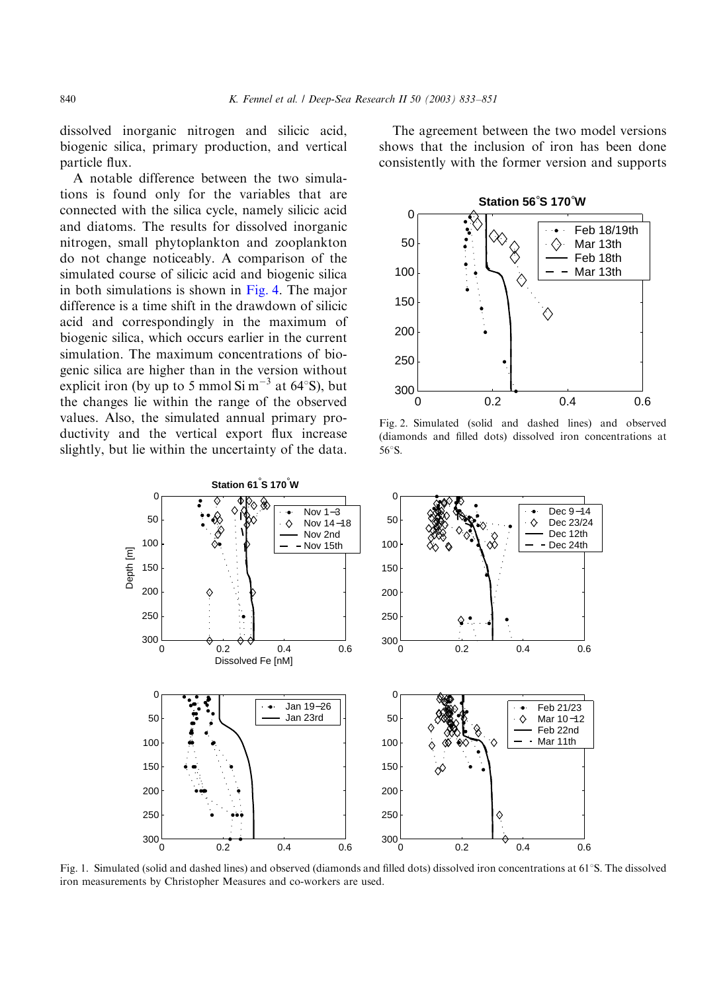<span id="page-7-0"></span>dissolved inorganic nitrogen and silicic acid, biogenic silica, primary production, and vertical particle flux.

A notable difference between the two simulations is found only for the variables that are connected with the silica cycle, namely silicic acid and diatoms. The results for dissolved inorganic nitrogen, small phytoplankton and zooplankton do not change noticeably. A comparison of the simulated course of silicic acid and biogenic silica in both simulations is shown in [Fig. 4.](#page-9-0) The major difference is a time shift in the drawdown of silicic acid and correspondingly in the maximum of biogenic silica, which occurs earlier in the current simulation. The maximum concentrations of biogenic silica are higher than in the version without explicit iron (by up to 5 mmol Si  $m^{-3}$  at 64°S), but the changes lie within the range of the observed values. Also, the simulated annual primary productivity and the vertical export flux increase slightly, but lie within the uncertainty of the data.

The agreement between the two model versions shows that the inclusion of iron has been done consistently with the former version and supports



Fig. 2. Simulated (solid and dashed lines) and observed (diamonds and filled dots) dissolved iron concentrations at  $56^\circ$ S.



Fig. 1. Simulated (solid and dashed lines) and observed (diamonds and filled dots) dissolved iron concentrations at  $61^{\circ}$ S. The dissolved iron measurements by Christopher Measures and co-workers are used.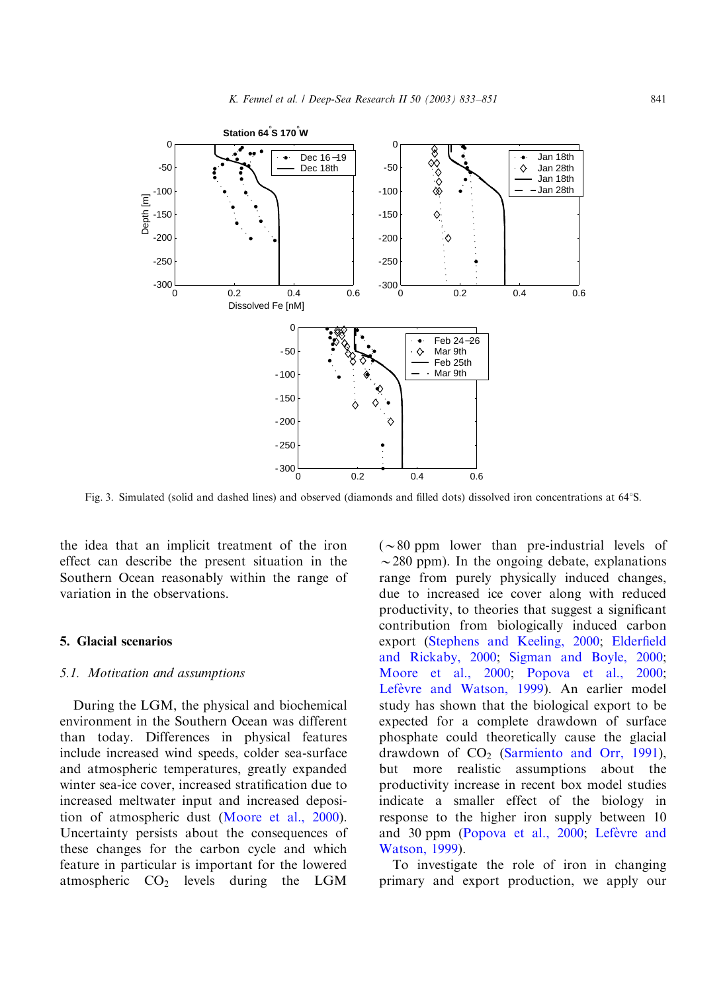<span id="page-8-0"></span>

Fig. 3. Simulated (solid and dashed lines) and observed (diamonds and filled dots) dissolved iron concentrations at 64°S.

the idea that an implicit treatment of the iron effect can describe the present situation in the Southern Ocean reasonably within the range of variation in the observations.

#### 5. Glacial scenarios

# 5.1. Motivation and assumptions

During the LGM, the physical and biochemical environment in the Southern Ocean was different than today. Differences in physical features include increased wind speeds, colder sea-surface and atmospheric temperatures, greatly expanded winter sea-ice cover, increased stratification due to increased meltwater input and increased deposition of atmospheric dust [\(Moore et al., 2000\)](#page-17-0). Uncertainty persists about the consequences of these changes for the carbon cycle and which feature in particular is important for the lowered atmospheric  $CO<sub>2</sub>$  levels during the LGM

 $(\sim 80$  ppm lower than pre-industrial levels of  $\sim$  280 ppm). In the ongoing debate, explanations range from purely physically induced changes, due to increased ice cover along with reduced productivity, to theories that suggest a significant contribution from biologically induced carbon export ([Stephens and Keeling, 2000](#page-18-0); [Elderfield](#page-16-0) [and Rickaby, 2000;](#page-16-0) [Sigman and Boyle, 2000](#page-18-0); [Moore et al., 2000](#page-17-0); [Popova et al., 2000](#page-17-0); [Lef](#page-17-0)è[vre and Watson, 1999](#page-17-0)). An earlier model study has shown that the biological export to be expected for a complete drawdown of surface phosphate could theoretically cause the glacial drawdown of  $CO<sub>2</sub>$  ([Sarmiento and Orr, 1991](#page-17-0)), but more realistic assumptions about the productivity increase in recent box model studies indicate a smaller effect of the biology in response to the higher iron supply between 10 and 30 ppm ([Popova et al., 2000](#page-17-0); Lefèvre and [Watson, 1999\)](#page-17-0).

To investigate the role of iron in changing primary and export production, we apply our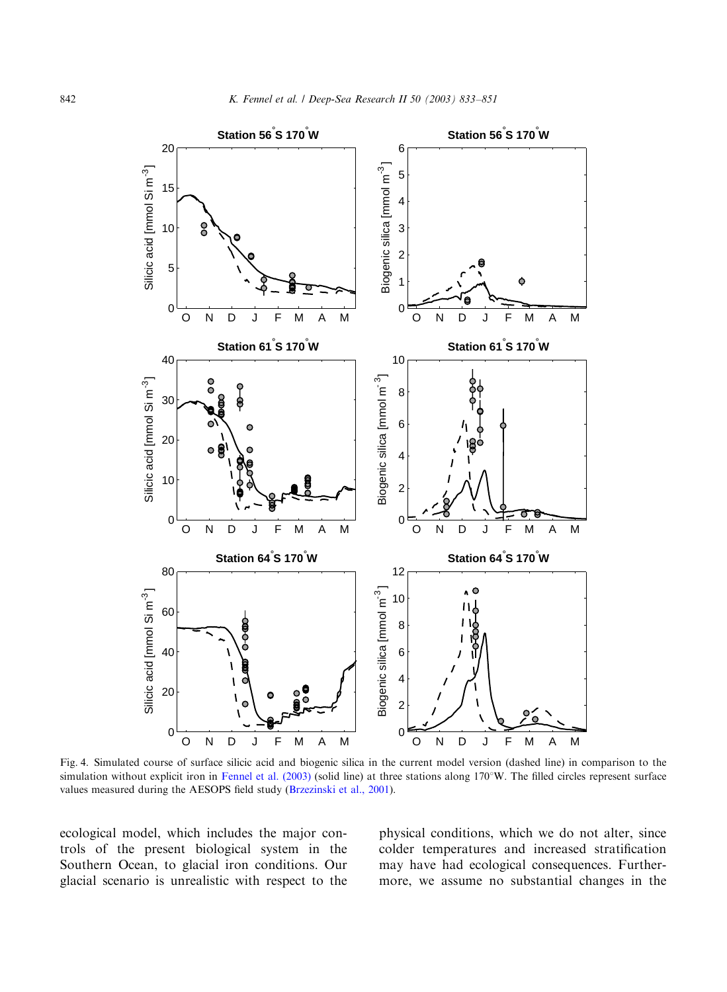<span id="page-9-0"></span>

Fig. 4. Simulated course of surface silicic acid and biogenic silica in the current model version (dashed line) in comparison to the simulation without explicit iron in Fennel et al.  $(2003)$  (solid line) at three stations along 170°W. The filled circles represent surface values measured during the AESOPS field study [\(Brzezinski et al., 2001\)](#page-16-0).

ecological model, which includes the major controls of the present biological system in the Southern Ocean, to glacial iron conditions. Our glacial scenario is unrealistic with respect to the physical conditions, which we do not alter, since colder temperatures and increased stratification may have had ecological consequences. Furthermore, we assume no substantial changes in the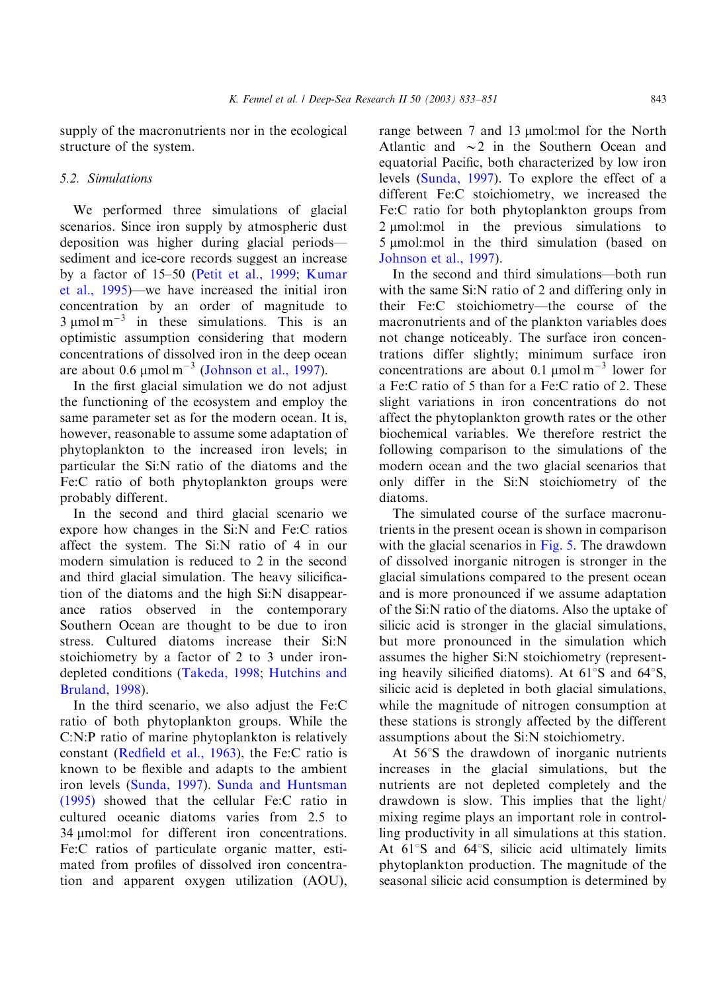supply of the macronutrients nor in the ecological structure of the system.

# 5.2. Simulations

We performed three simulations of glacial scenarios. Since iron supply by atmospheric dust deposition was higher during glacial periods sediment and ice-core records suggest an increase by a factor of 15–50 ([Petit et al., 1999;](#page-17-0) [Kumar](#page-17-0) [et al., 1995\)](#page-17-0)—we have increased the initial iron concentration by an order of magnitude to  $3 \text{ µmol m}^{-3}$  in these simulations. This is an optimistic assumption considering that modern concentrations of dissolved iron in the deep ocean are about 0.6  $\mu$ mol m<sup>-3</sup> [\(Johnson et al., 1997\)](#page-17-0).

In the first glacial simulation we do not adjust the functioning of the ecosystem and employ the same parameter set as for the modern ocean. It is, however, reasonable to assume some adaptation of phytoplankton to the increased iron levels; in particular the Si:N ratio of the diatoms and the Fe:C ratio of both phytoplankton groups were probably different.

In the second and third glacial scenario we expore how changes in the Si:N and Fe:C ratios affect the system. The Si:N ratio of 4 in our modern simulation is reduced to 2 in the second and third glacial simulation. The heavy silicification of the diatoms and the high Si:N disappearance ratios observed in the contemporary Southern Ocean are thought to be due to iron stress. Cultured diatoms increase their Si:N stoichiometry by a factor of 2 to 3 under irondepleted conditions [\(Takeda, 1998;](#page-18-0) [Hutchins and](#page-17-0) [Bruland, 1998\)](#page-17-0).

In the third scenario, we also adjust the Fe:C ratio of both phytoplankton groups. While the C:N:P ratio of marine phytoplankton is relatively constant ([Redfield et al., 1963\)](#page-17-0), the Fe:C ratio is known to be flexible and adapts to the ambient iron levels ([Sunda, 1997](#page-18-0)). [Sunda and Huntsman](#page-18-0) [\(1995\)](#page-18-0) showed that the cellular Fe:C ratio in cultured oceanic diatoms varies from 2.5 to 34 umol:mol for different iron concentrations. Fe:C ratios of particulate organic matter, estimated from profiles of dissolved iron concentration and apparent oxygen utilization (AOU), range between 7 and 13 µmol:mol for the North Atlantic and  $\sim$ 2 in the Southern Ocean and equatorial Pacific, both characterized by low iron levels [\(Sunda, 1997\)](#page-18-0). To explore the effect of a different Fe:C stoichiometry, we increased the Fe:C ratio for both phytoplankton groups from 2 umol:mol in the previous simulations to 5 umol:mol in the third simulation (based on [Johnson et al., 1997](#page-17-0)).

In the second and third simulations—both run with the same Si:N ratio of 2 and differing only in their Fe:C stoichiometry—the course of the macronutrients and of the plankton variables does not change noticeably. The surface iron concentrations differ slightly; minimum surface iron concentrations are about 0.1  $\mu$ mol m<sup>-3</sup> lower for a Fe:C ratio of 5 than for a Fe:C ratio of 2. These slight variations in iron concentrations do not affect the phytoplankton growth rates or the other biochemical variables. We therefore restrict the following comparison to the simulations of the modern ocean and the two glacial scenarios that only differ in the Si:N stoichiometry of the diatoms.

The simulated course of the surface macronutrients in the present ocean is shown in comparison with the glacial scenarios in [Fig. 5](#page-11-0). The drawdown of dissolved inorganic nitrogen is stronger in the glacial simulations compared to the present ocean and is more pronounced if we assume adaptation of the Si:N ratio of the diatoms. Also the uptake of silicic acid is stronger in the glacial simulations, but more pronounced in the simulation which assumes the higher Si:N stoichiometry (representing heavily silicified diatoms). At  $61^{\circ}$ S and  $64^{\circ}$ S, silicic acid is depleted in both glacial simulations, while the magnitude of nitrogen consumption at these stations is strongly affected by the different assumptions about the Si:N stoichiometry.

At  $56^{\circ}$ S the drawdown of inorganic nutrients increases in the glacial simulations, but the nutrients are not depleted completely and the drawdown is slow. This implies that the light/ mixing regime plays an important role in controlling productivity in all simulations at this station. At  $61^{\circ}$ S and  $64^{\circ}$ S, silicic acid ultimately limits phytoplankton production. The magnitude of the seasonal silicic acid consumption is determined by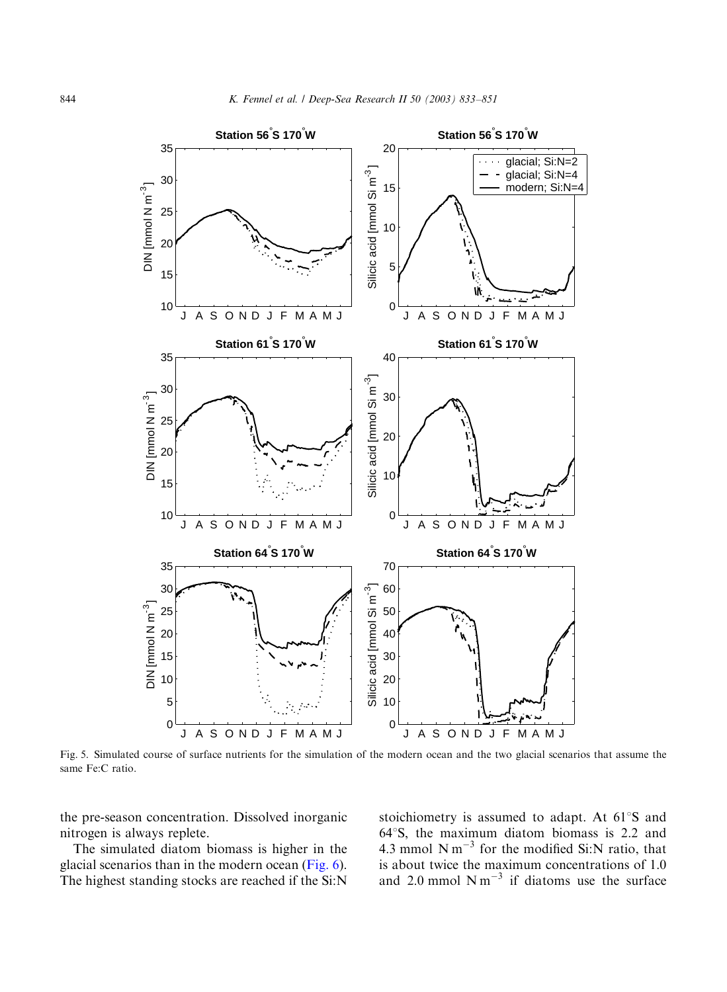<span id="page-11-0"></span>

Fig. 5. Simulated course of surface nutrients for the simulation of the modern ocean and the two glacial scenarios that assume the same Fe:C ratio.

the pre-season concentration. Dissolved inorganic nitrogen is always replete.

The simulated diatom biomass is higher in the glacial scenarios than in the modern ocean [\(Fig. 6\)](#page-12-0). The highest standing stocks are reached if the Si:N stoichiometry is assumed to adapt. At  $61^{\circ}$ S and  $64^{\circ}$ S, the maximum diatom biomass is 2.2 and 4.3 mmol  $N m^{-3}$  for the modified Si:N ratio, that is about twice the maximum concentrations of 1.0 and 2.0 mmol  $N m^{-3}$  if diatoms use the surface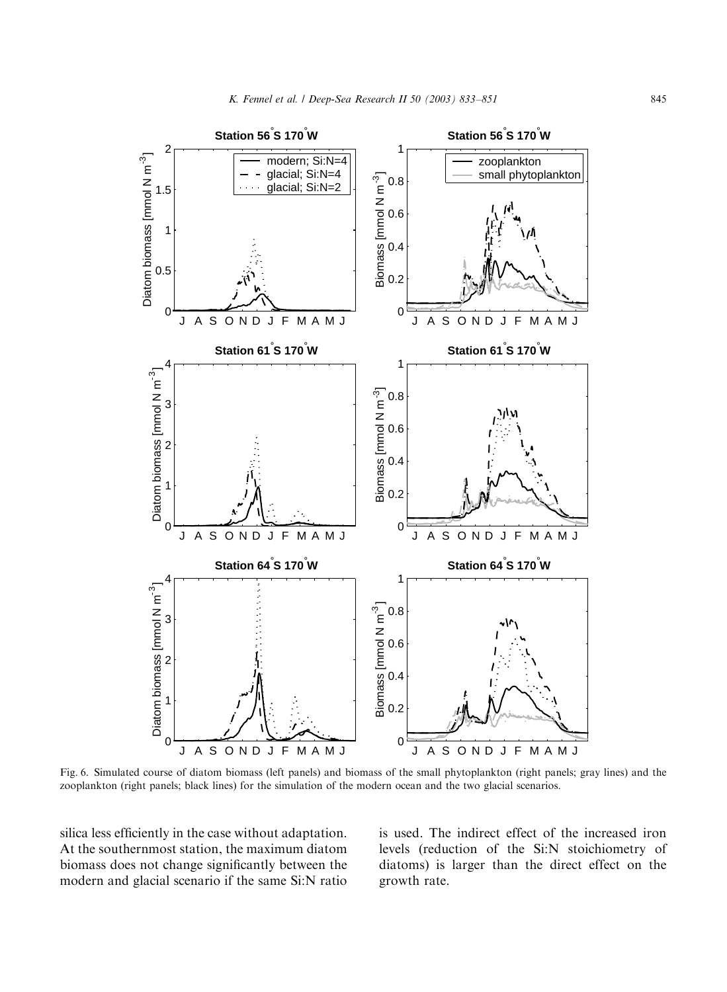<span id="page-12-0"></span>

Fig. 6. Simulated course of diatom biomass (left panels) and biomass of the small phytoplankton (right panels; gray lines) and the zooplankton (right panels; black lines) for the simulation of the modern ocean and the two glacial scenarios.

silica less efficiently in the case without adaptation. At the southernmost station, the maximum diatom biomass does not change significantly between the modern and glacial scenario if the same Si:N ratio is used. The indirect effect of the increased iron levels (reduction of the Si:N stoichiometry of diatoms) is larger than the direct effect on the growth rate.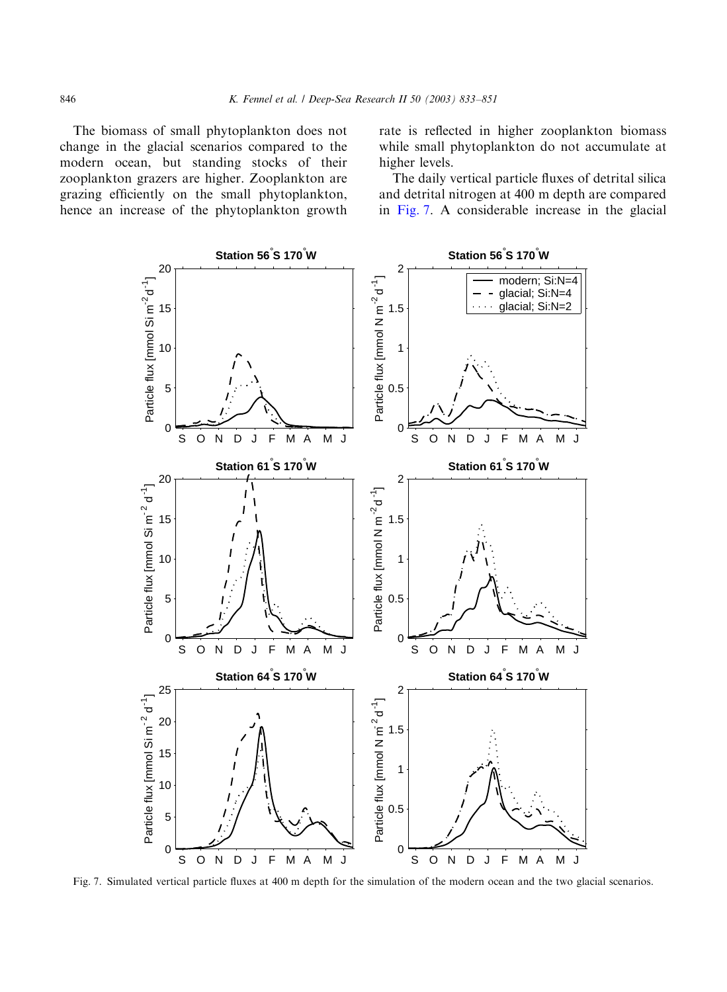The biomass of small phytoplankton does not change in the glacial scenarios compared to the modern ocean, but standing stocks of their zooplankton grazers are higher. Zooplankton are grazing efficiently on the small phytoplankton, hence an increase of the phytoplankton growth

rate is reflected in higher zooplankton biomass while small phytoplankton do not accumulate at higher levels.

The daily vertical particle fluxes of detrital silica and detrital nitrogen at 400 m depth are compared in Fig. 7. A considerable increase in the glacial



Fig. 7. Simulated vertical particle fluxes at 400 m depth for the simulation of the modern ocean and the two glacial scenarios.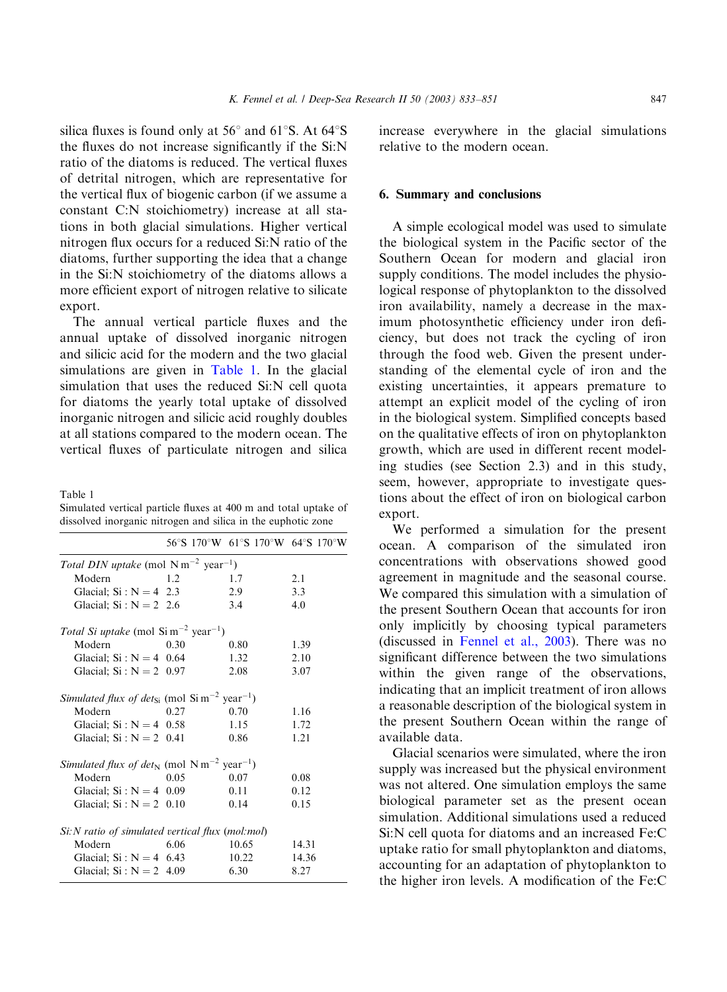silica fluxes is found only at  $56^{\circ}$  and  $61^{\circ}$ S. At  $64^{\circ}$ S the fluxes do not increase significantly if the Si:N ratio of the diatoms is reduced. The vertical fluxes of detrital nitrogen, which are representative for the vertical flux of biogenic carbon (if we assume a constant C:N stoichiometry) increase at all stations in both glacial simulations. Higher vertical nitrogen flux occurs for a reduced Si:N ratio of the diatoms, further supporting the idea that a change in the Si:N stoichiometry of the diatoms allows a more efficient export of nitrogen relative to silicate export.

The annual vertical particle fluxes and the annual uptake of dissolved inorganic nitrogen and silicic acid for the modern and the two glacial simulations are given in Table 1. In the glacial simulation that uses the reduced Si:N cell quota for diatoms the yearly total uptake of dissolved inorganic nitrogen and silicic acid roughly doubles at all stations compared to the modern ocean. The vertical fluxes of particulate nitrogen and silica

Table 1

Simulated vertical particle fluxes at 400 m and total uptake of dissolved inorganic nitrogen and silica in the euphotic zone

|                                                                                  |      | 56°S 170°W 61°S 170°W 64°S 170°W |       |
|----------------------------------------------------------------------------------|------|----------------------------------|-------|
| Total DIN uptake (mol $N m^{-2}$ year <sup>-1</sup> )                            |      |                                  |       |
| Modern                                                                           | 1.2  | 1.7                              | 2.1   |
| Glacial; Si : $N = 4$ 2.3                                                        |      | 2.9                              | 3.3   |
| Glacial; $Si: N = 2$ 2.6                                                         |      | 3.4                              | 4.0   |
| Total Si uptake (mol Si m <sup>-2</sup> year <sup>-1</sup> )                     |      |                                  |       |
| Modern                                                                           | 0.30 | 0.80                             | 1.39  |
| Glacial; $Si : N = 4$ 0.64                                                       |      | 1.32                             | 2.10  |
| Glacial; Si : $N = 2$ 0.97                                                       |      | 2.08                             | 3.07  |
| Simulated flux of det <sub>Si</sub> (mol Si m <sup>-2</sup> year <sup>-1</sup> ) |      |                                  |       |
| Modern                                                                           | 0.27 | 0.70                             | 1.16  |
| Glacial; $Si: N = 4$ 0.58                                                        |      | 1.15                             | 1.72  |
| Glacial; $Si: N = 2$ 0.41                                                        |      | 0.86                             | 1.21  |
| Simulated flux of det <sub>N</sub> (mol N m <sup>-2</sup> year <sup>-1</sup> )   |      |                                  |       |
| Modern                                                                           | 0.05 | 0.07                             | 0.08  |
| Glacial; $Si: N = 4$ 0.09                                                        |      | 0.11                             | 0.12  |
| Glacial; $Si: N = 2$ 0.10                                                        |      | 0.14                             | 0.15  |
| Si: N ratio of simulated vertical flux (mol: mol)                                |      |                                  |       |
| Modern                                                                           | 6.06 | 10.65                            | 14.31 |
| Glacial; $Si: N = 4$ 6.43                                                        |      | 10.22                            | 14.36 |
| Glacial; Si: $N = 2$ 4.09                                                        |      | 6.30                             | 8.27  |

increase everywhere in the glacial simulations relative to the modern ocean.

## 6. Summary and conclusions

A simple ecological model was used to simulate the biological system in the Pacific sector of the Southern Ocean for modern and glacial iron supply conditions. The model includes the physiological response of phytoplankton to the dissolved iron availability, namely a decrease in the maximum photosynthetic efficiency under iron deficiency, but does not track the cycling of iron through the food web. Given the present understanding of the elemental cycle of iron and the existing uncertainties, it appears premature to attempt an explicit model of the cycling of iron in the biological system. Simplified concepts based on the qualitative effects of iron on phytoplankton growth, which are used in different recent modeling studies (see Section 2.3) and in this study, seem, however, appropriate to investigate questions about the effect of iron on biological carbon export.

We performed a simulation for the present ocean. A comparison of the simulated iron concentrations with observations showed good agreement in magnitude and the seasonal course. We compared this simulation with a simulation of the present Southern Ocean that accounts for iron only implicitly by choosing typical parameters (discussed in [Fennel et al., 2003\)](#page-16-0). There was no significant difference between the two simulations within the given range of the observations, indicating that an implicit treatment of iron allows a reasonable description of the biological system in the present Southern Ocean within the range of available data.

Glacial scenarios were simulated, where the iron supply was increased but the physical environment was not altered. One simulation employs the same biological parameter set as the present ocean simulation. Additional simulations used a reduced Si:N cell quota for diatoms and an increased Fe:C uptake ratio for small phytoplankton and diatoms, accounting for an adaptation of phytoplankton to the higher iron levels. A modification of the Fe:C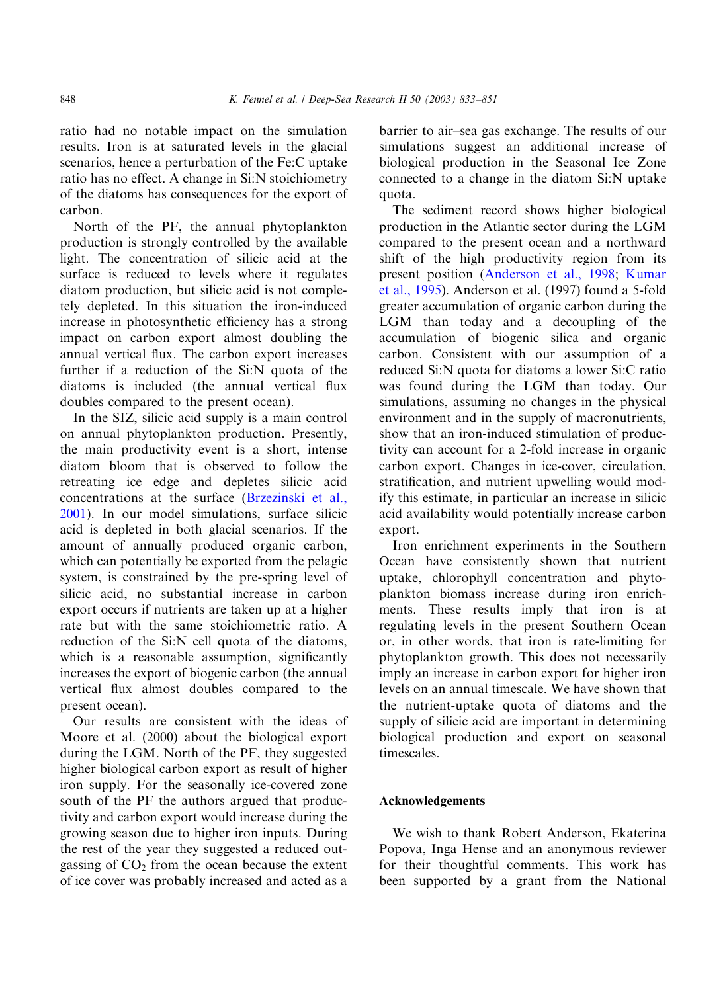ratio had no notable impact on the simulation results. Iron is at saturated levels in the glacial scenarios, hence a perturbation of the Fe:C uptake ratio has no effect. A change in Si:N stoichiometry of the diatoms has consequences for the export of carbon.

North of the PF, the annual phytoplankton production is strongly controlled by the available light. The concentration of silicic acid at the surface is reduced to levels where it regulates diatom production, but silicic acid is not completely depleted. In this situation the iron-induced increase in photosynthetic efficiency has a strong impact on carbon export almost doubling the annual vertical flux. The carbon export increases further if a reduction of the Si:N quota of the diatoms is included (the annual vertical flux doubles compared to the present ocean).

In the SIZ, silicic acid supply is a main control on annual phytoplankton production. Presently, the main productivity event is a short, intense diatom bloom that is observed to follow the retreating ice edge and depletes silicic acid concentrations at the surface [\(Brzezinski et al.,](#page-16-0) [2001\)](#page-16-0). In our model simulations, surface silicic acid is depleted in both glacial scenarios. If the amount of annually produced organic carbon, which can potentially be exported from the pelagic system, is constrained by the pre-spring level of silicic acid, no substantial increase in carbon export occurs if nutrients are taken up at a higher rate but with the same stoichiometric ratio. A reduction of the Si:N cell quota of the diatoms, which is a reasonable assumption, significantly increases the export of biogenic carbon (the annual vertical flux almost doubles compared to the present ocean).

Our results are consistent with the ideas of Moore et al. (2000) about the biological export during the LGM. North of the PF, they suggested higher biological carbon export as result of higher iron supply. For the seasonally ice-covered zone south of the PF the authors argued that productivity and carbon export would increase during the growing season due to higher iron inputs. During the rest of the year they suggested a reduced outgassing of  $CO<sub>2</sub>$  from the ocean because the extent of ice cover was probably increased and acted as a

barrier to air–sea gas exchange. The results of our simulations suggest an additional increase of biological production in the Seasonal Ice Zone connected to a change in the diatom Si:N uptake quota.

The sediment record shows higher biological production in the Atlantic sector during the LGM compared to the present ocean and a northward shift of the high productivity region from its present position ([Anderson et al., 1998;](#page-16-0) [Kumar](#page-17-0) [et al., 1995\)](#page-17-0). Anderson et al. (1997) found a 5-fold greater accumulation of organic carbon during the LGM than today and a decoupling of the accumulation of biogenic silica and organic carbon. Consistent with our assumption of a reduced Si:N quota for diatoms a lower Si:C ratio was found during the LGM than today. Our simulations, assuming no changes in the physical environment and in the supply of macronutrients, show that an iron-induced stimulation of productivity can account for a 2-fold increase in organic carbon export. Changes in ice-cover, circulation, stratification, and nutrient upwelling would modify this estimate, in particular an increase in silicic acid availability would potentially increase carbon export.

Iron enrichment experiments in the Southern Ocean have consistently shown that nutrient uptake, chlorophyll concentration and phytoplankton biomass increase during iron enrichments. These results imply that iron is at regulating levels in the present Southern Ocean or, in other words, that iron is rate-limiting for phytoplankton growth. This does not necessarily imply an increase in carbon export for higher iron levels on an annual timescale. We have shown that the nutrient-uptake quota of diatoms and the supply of silicic acid are important in determining biological production and export on seasonal timescales.

## Acknowledgements

We wish to thank Robert Anderson, Ekaterina Popova, Inga Hense and an anonymous reviewer for their thoughtful comments. This work has been supported by a grant from the National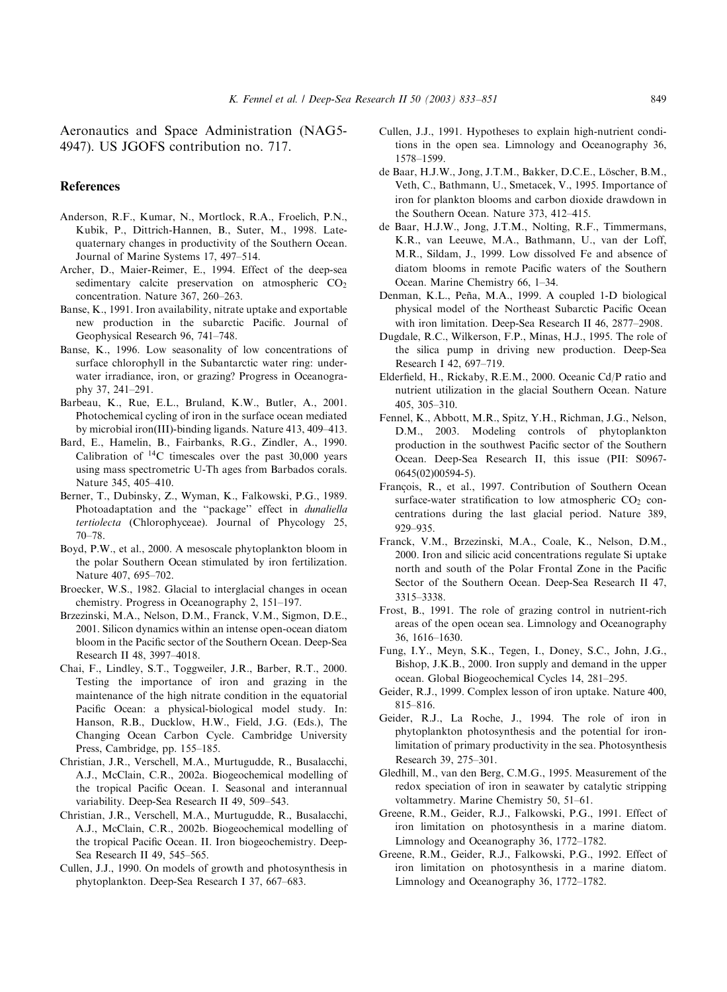<span id="page-16-0"></span>Aeronautics and Space Administration (NAG5- 4947). US JGOFS contribution no. 717.

# References

- Anderson, R.F., Kumar, N., Mortlock, R.A., Froelich, P.N., Kubik, P., Dittrich-Hannen, B., Suter, M., 1998. Latequaternary changes in productivity of the Southern Ocean. Journal of Marine Systems 17, 497–514.
- Archer, D., Maier-Reimer, E., 1994. Effect of the deep-sea sedimentary calcite preservation on atmospheric  $CO<sub>2</sub>$ concentration. Nature 367, 260–263.
- Banse, K., 1991. Iron availability, nitrate uptake and exportable new production in the subarctic Pacific. Journal of Geophysical Research 96, 741–748.
- Banse, K., 1996. Low seasonality of low concentrations of surface chlorophyll in the Subantarctic water ring: underwater irradiance, iron, or grazing? Progress in Oceanography 37, 241–291.
- Barbeau, K., Rue, E.L., Bruland, K.W., Butler, A., 2001. Photochemical cycling of iron in the surface ocean mediated by microbial iron(III)-binding ligands. Nature 413, 409–413.
- Bard, E., Hamelin, B., Fairbanks, R.G., Zindler, A., 1990. Calibration of  $^{14}$ C timescales over the past 30,000 years using mass spectrometric U-Th ages from Barbados corals. Nature 345, 405–410.
- Berner, T., Dubinsky, Z., Wyman, K., Falkowski, P.G., 1989. Photoadaptation and the ''package'' effect in dunaliella tertiolecta (Chlorophyceae). Journal of Phycology 25, 70–78.
- Boyd, P.W., et al., 2000. A mesoscale phytoplankton bloom in the polar Southern Ocean stimulated by iron fertilization. Nature 407, 695–702.
- Broecker, W.S., 1982. Glacial to interglacial changes in ocean chemistry. Progress in Oceanography 2, 151–197.
- Brzezinski, M.A., Nelson, D.M., Franck, V.M., Sigmon, D.E., 2001. Silicon dynamics within an intense open-ocean diatom bloom in the Pacific sector of the Southern Ocean. Deep-Sea Research II 48, 3997–4018.
- Chai, F., Lindley, S.T., Toggweiler, J.R., Barber, R.T., 2000. Testing the importance of iron and grazing in the maintenance of the high nitrate condition in the equatorial Pacific Ocean: a physical-biological model study. In: Hanson, R.B., Ducklow, H.W., Field, J.G. (Eds.), The Changing Ocean Carbon Cycle. Cambridge University Press, Cambridge, pp. 155–185.
- Christian, J.R., Verschell, M.A., Murtugudde, R., Busalacchi, A.J., McClain, C.R., 2002a. Biogeochemical modelling of the tropical Pacific Ocean. I. Seasonal and interannual variability. Deep-Sea Research II 49, 509–543.
- Christian, J.R., Verschell, M.A., Murtugudde, R., Busalacchi, A.J., McClain, C.R., 2002b. Biogeochemical modelling of the tropical Pacific Ocean. II. Iron biogeochemistry. Deep-Sea Research II 49, 545–565.
- Cullen, J.J., 1990. On models of growth and photosynthesis in phytoplankton. Deep-Sea Research I 37, 667–683.
- Cullen, J.J., 1991. Hypotheses to explain high-nutrient conditions in the open sea. Limnology and Oceanography 36, 1578–1599.
- de Baar, H.J.W., Jong, J.T.M., Bakker, D.C.E., Löscher, B.M., Veth, C., Bathmann, U., Smetacek, V., 1995. Importance of iron for plankton blooms and carbon dioxide drawdown in the Southern Ocean. Nature 373, 412–415.
- de Baar, H.J.W., Jong, J.T.M., Nolting, R.F., Timmermans, K.R., van Leeuwe, M.A., Bathmann, U., van der Loff, M.R., Sildam, J., 1999. Low dissolved Fe and absence of diatom blooms in remote Pacific waters of the Southern Ocean. Marine Chemistry 66, 1–34.
- Denman, K.L., Peña, M.A., 1999. A coupled 1-D biological physical model of the Northeast Subarctic Pacific Ocean with iron limitation. Deep-Sea Research II 46, 2877–2908.
- Dugdale, R.C., Wilkerson, F.P., Minas, H.J., 1995. The role of the silica pump in driving new production. Deep-Sea Research I 42, 697–719.
- Elderfield, H., Rickaby, R.E.M., 2000. Oceanic Cd/P ratio and nutrient utilization in the glacial Southern Ocean. Nature 405, 305–310.
- Fennel, K., Abbott, M.R., Spitz, Y.H., Richman, J.G., Nelson, D.M., 2003. Modeling controls of phytoplankton production in the southwest Pacific sector of the Southern Ocean. Deep-Sea Research II, this issue (PII: S0967- 0645(02)00594-5).
- François, R., et al., 1997. Contribution of Southern Ocean surface-water stratification to low atmospheric  $CO<sub>2</sub>$  concentrations during the last glacial period. Nature 389, 929–935.
- Franck, V.M., Brzezinski, M.A., Coale, K., Nelson, D.M., 2000. Iron and silicic acid concentrations regulate Si uptake north and south of the Polar Frontal Zone in the Pacific Sector of the Southern Ocean. Deep-Sea Research II 47, 3315–3338.
- Frost, B., 1991. The role of grazing control in nutrient-rich areas of the open ocean sea. Limnology and Oceanography 36, 1616–1630.
- Fung, I.Y., Meyn, S.K., Tegen, I., Doney, S.C., John, J.G., Bishop, J.K.B., 2000. Iron supply and demand in the upper ocean. Global Biogeochemical Cycles 14, 281–295.
- Geider, R.J., 1999. Complex lesson of iron uptake. Nature 400, 815–816.
- Geider, R.J., La Roche, J., 1994. The role of iron in phytoplankton photosynthesis and the potential for ironlimitation of primary productivity in the sea. Photosynthesis Research 39, 275–301.
- Gledhill, M., van den Berg, C.M.G., 1995. Measurement of the redox speciation of iron in seawater by catalytic stripping voltammetry. Marine Chemistry 50, 51–61.
- Greene, R.M., Geider, R.J., Falkowski, P.G., 1991. Effect of iron limitation on photosynthesis in a marine diatom. Limnology and Oceanography 36, 1772–1782.
- Greene, R.M., Geider, R.J., Falkowski, P.G., 1992. Effect of iron limitation on photosynthesis in a marine diatom. Limnology and Oceanography 36, 1772–1782.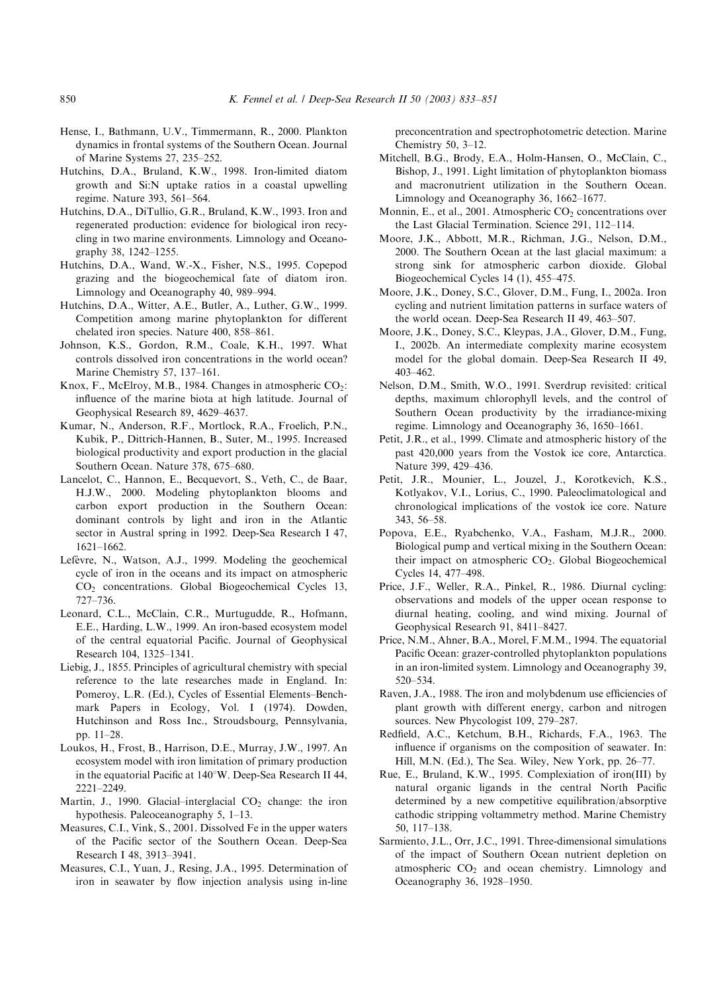- <span id="page-17-0"></span>Hense, I., Bathmann, U.V., Timmermann, R., 2000. Plankton dynamics in frontal systems of the Southern Ocean. Journal of Marine Systems 27, 235–252.
- Hutchins, D.A., Bruland, K.W., 1998. Iron-limited diatom growth and Si:N uptake ratios in a coastal upwelling regime. Nature 393, 561–564.
- Hutchins, D.A., DiTullio, G.R., Bruland, K.W., 1993. Iron and regenerated production: evidence for biological iron recycling in two marine environments. Limnology and Oceanography 38, 1242–1255.
- Hutchins, D.A., Wand, W.-X., Fisher, N.S., 1995. Copepod grazing and the biogeochemical fate of diatom iron. Limnology and Oceanography 40, 989–994.
- Hutchins, D.A., Witter, A.E., Butler, A., Luther, G.W., 1999. Competition among marine phytoplankton for different chelated iron species. Nature 400, 858–861.
- Johnson, K.S., Gordon, R.M., Coale, K.H., 1997. What controls dissolved iron concentrations in the world ocean? Marine Chemistry 57, 137–161.
- Knox, F., McElroy, M.B., 1984. Changes in atmospheric CO<sub>2</sub>: influence of the marine biota at high latitude. Journal of Geophysical Research 89, 4629–4637.
- Kumar, N., Anderson, R.F., Mortlock, R.A., Froelich, P.N., Kubik, P., Dittrich-Hannen, B., Suter, M., 1995. Increased biological productivity and export production in the glacial Southern Ocean. Nature 378, 675–680.
- Lancelot, C., Hannon, E., Becquevort, S., Veth, C., de Baar, H.J.W., 2000. Modeling phytoplankton blooms and carbon export production in the Southern Ocean: dominant controls by light and iron in the Atlantic sector in Austral spring in 1992. Deep-Sea Research I 47, 1621–1662.
- Lefèvre, N., Watson, A.J., 1999. Modeling the geochemical cycle of iron in the oceans and its impact on atmospheric CO2 concentrations. Global Biogeochemical Cycles 13, 727–736.
- Leonard, C.L., McClain, C.R., Murtugudde, R., Hofmann, E.E., Harding, L.W., 1999. An iron-based ecosystem model of the central equatorial Pacific. Journal of Geophysical Research 104, 1325–1341.
- Liebig, J., 1855. Principles of agricultural chemistry with special reference to the late researches made in England. In: Pomeroy, L.R. (Ed.), Cycles of Essential Elements–Benchmark Papers in Ecology, Vol. I (1974). Dowden, Hutchinson and Ross Inc., Stroudsbourg, Pennsylvania, pp. 11–28.
- Loukos, H., Frost, B., Harrison, D.E., Murray, J.W., 1997. An ecosystem model with iron limitation of primary production in the equatorial Pacific at  $140^{\circ}$ W. Deep-Sea Research II 44, 2221–2249.
- Martin, J., 1990. Glacial–interglacial  $CO<sub>2</sub>$  change: the iron hypothesis. Paleoceanography 5, 1–13.
- Measures, C.I., Vink, S., 2001. Dissolved Fe in the upper waters of the Pacific sector of the Southern Ocean. Deep-Sea Research I 48, 3913–3941.
- Measures, C.I., Yuan, J., Resing, J.A., 1995. Determination of iron in seawater by flow injection analysis using in-line

preconcentration and spectrophotometric detection. Marine Chemistry 50, 3–12.

- Mitchell, B.G., Brody, E.A., Holm-Hansen, O., McClain, C., Bishop, J., 1991. Light limitation of phytoplankton biomass and macronutrient utilization in the Southern Ocean. Limnology and Oceanography 36, 1662–1677.
- Monnin, E., et al., 2001. Atmospheric  $CO<sub>2</sub>$  concentrations over the Last Glacial Termination. Science 291, 112–114.
- Moore, J.K., Abbott, M.R., Richman, J.G., Nelson, D.M., 2000. The Southern Ocean at the last glacial maximum: a strong sink for atmospheric carbon dioxide. Global Biogeochemical Cycles 14 (1), 455–475.
- Moore, J.K., Doney, S.C., Glover, D.M., Fung, I., 2002a. Iron cycling and nutrient limitation patterns in surface waters of the world ocean. Deep-Sea Research II 49, 463–507.
- Moore, J.K., Doney, S.C., Kleypas, J.A., Glover, D.M., Fung, I., 2002b. An intermediate complexity marine ecosystem model for the global domain. Deep-Sea Research II 49, 403–462.
- Nelson, D.M., Smith, W.O., 1991. Sverdrup revisited: critical depths, maximum chlorophyll levels, and the control of Southern Ocean productivity by the irradiance-mixing regime. Limnology and Oceanography 36, 1650–1661.
- Petit, J.R., et al., 1999. Climate and atmospheric history of the past 420,000 years from the Vostok ice core, Antarctica. Nature 399, 429–436.
- Petit, J.R., Mounier, L., Jouzel, J., Korotkevich, K.S., Kotlyakov, V.I., Lorius, C., 1990. Paleoclimatological and chronological implications of the vostok ice core. Nature 343, 56–58.
- Popova, E.E., Ryabchenko, V.A., Fasham, M.J.R., 2000. Biological pump and vertical mixing in the Southern Ocean: their impact on atmospheric  $CO<sub>2</sub>$ . Global Biogeochemical Cycles 14, 477–498.
- Price, J.F., Weller, R.A., Pinkel, R., 1986. Diurnal cycling: observations and models of the upper ocean response to diurnal heating, cooling, and wind mixing. Journal of Geophysical Research 91, 8411–8427.
- Price, N.M., Ahner, B.A., Morel, F.M.M., 1994. The equatorial Pacific Ocean: grazer-controlled phytoplankton populations in an iron-limited system. Limnology and Oceanography 39, 520–534.
- Raven, J.A., 1988. The iron and molybdenum use efficiencies of plant growth with different energy, carbon and nitrogen sources. New Phycologist 109, 279–287.
- Redfield, A.C., Ketchum, B.H., Richards, F.A., 1963. The influence if organisms on the composition of seawater. In: Hill, M.N. (Ed.), The Sea. Wiley, New York, pp. 26–77.
- Rue, E., Bruland, K.W., 1995. Complexiation of iron(III) by natural organic ligands in the central North Pacific determined by a new competitive equilibration/absorptive cathodic stripping voltammetry method. Marine Chemistry 50, 117–138.
- Sarmiento, J.L., Orr, J.C., 1991. Three-dimensional simulations of the impact of Southern Ocean nutrient depletion on atmospheric  $CO<sub>2</sub>$  and ocean chemistry. Limnology and Oceanography 36, 1928–1950.